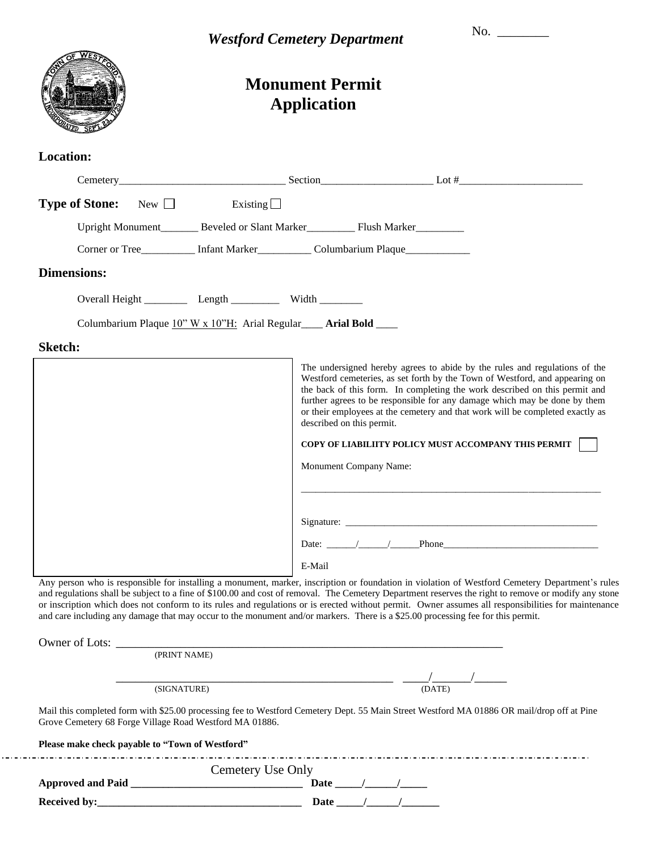|                                                                    | <b>Westford Cemetery Department</b> |                                                                                   | No. $\qquad$                                                                                                                                                                                                                                                                                                                                                                                                                                                                                                                                                                                      |
|--------------------------------------------------------------------|-------------------------------------|-----------------------------------------------------------------------------------|---------------------------------------------------------------------------------------------------------------------------------------------------------------------------------------------------------------------------------------------------------------------------------------------------------------------------------------------------------------------------------------------------------------------------------------------------------------------------------------------------------------------------------------------------------------------------------------------------|
|                                                                    |                                     | <b>Monument Permit</b><br><b>Application</b>                                      |                                                                                                                                                                                                                                                                                                                                                                                                                                                                                                                                                                                                   |
| <b>Location:</b>                                                   |                                     |                                                                                   |                                                                                                                                                                                                                                                                                                                                                                                                                                                                                                                                                                                                   |
|                                                                    |                                     |                                                                                   |                                                                                                                                                                                                                                                                                                                                                                                                                                                                                                                                                                                                   |
| <b>Type of Stone:</b> New $\Box$ Existing $\Box$                   |                                     |                                                                                   |                                                                                                                                                                                                                                                                                                                                                                                                                                                                                                                                                                                                   |
|                                                                    |                                     | Upright Monument_________ Beveled or Slant Marker___________ Flush Marker________ |                                                                                                                                                                                                                                                                                                                                                                                                                                                                                                                                                                                                   |
|                                                                    |                                     | Corner or Tree__________ Infant Marker___________ Columbarium Plaque____________  |                                                                                                                                                                                                                                                                                                                                                                                                                                                                                                                                                                                                   |
| <b>Dimensions:</b>                                                 |                                     |                                                                                   |                                                                                                                                                                                                                                                                                                                                                                                                                                                                                                                                                                                                   |
| Overall Height ____________ Length ______________ Width __________ |                                     |                                                                                   |                                                                                                                                                                                                                                                                                                                                                                                                                                                                                                                                                                                                   |
|                                                                    |                                     | Columbarium Plaque 10" W x 10"H: Arial Regular___ Arial Bold ___                  |                                                                                                                                                                                                                                                                                                                                                                                                                                                                                                                                                                                                   |
| <b>Sketch:</b>                                                     |                                     |                                                                                   |                                                                                                                                                                                                                                                                                                                                                                                                                                                                                                                                                                                                   |
|                                                                    |                                     | described on this permit.<br>Monument Company Name:                               | COPY OF LIABILIITY POLICY MUST ACCOMPANY THIS PERMIT                                                                                                                                                                                                                                                                                                                                                                                                                                                                                                                                              |
|                                                                    |                                     |                                                                                   |                                                                                                                                                                                                                                                                                                                                                                                                                                                                                                                                                                                                   |
|                                                                    |                                     |                                                                                   | Date: $\angle$ / Phone                                                                                                                                                                                                                                                                                                                                                                                                                                                                                                                                                                            |
|                                                                    |                                     | E-Mail                                                                            |                                                                                                                                                                                                                                                                                                                                                                                                                                                                                                                                                                                                   |
|                                                                    |                                     |                                                                                   | Any person who is responsible for installing a monument, marker, inscription or foundation in violation of Westford Cemetery Department's rules<br>and regulations shall be subject to a fine of \$100.00 and cost of removal. The Cemetery Department reserves the right to remove or modify any stone<br>or inscription which does not conform to its rules and regulations or is erected without permit. Owner assumes all responsibilities for maintenance<br>and care including any damage that may occur to the monument and/or markers. There is a \$25.00 processing fee for this permit. |
| Owner of Lots: <u>(PRINT NAME)</u>                                 |                                     |                                                                                   |                                                                                                                                                                                                                                                                                                                                                                                                                                                                                                                                                                                                   |
|                                                                    |                                     |                                                                                   |                                                                                                                                                                                                                                                                                                                                                                                                                                                                                                                                                                                                   |
|                                                                    | (SIGNATURE)                         |                                                                                   | (DATE)                                                                                                                                                                                                                                                                                                                                                                                                                                                                                                                                                                                            |
| Grove Cemetery 68 Forge Village Road Westford MA 01886.            |                                     |                                                                                   | Mail this completed form with \$25.00 processing fee to Westford Cemetery Dept. 55 Main Street Westford MA 01886 OR mail/drop off at Pine                                                                                                                                                                                                                                                                                                                                                                                                                                                         |
|                                                                    |                                     |                                                                                   |                                                                                                                                                                                                                                                                                                                                                                                                                                                                                                                                                                                                   |
| Please make check payable to "Town of Westford"                    |                                     |                                                                                   |                                                                                                                                                                                                                                                                                                                                                                                                                                                                                                                                                                                                   |
|                                                                    | Cemetery Use Only                   |                                                                                   |                                                                                                                                                                                                                                                                                                                                                                                                                                                                                                                                                                                                   |